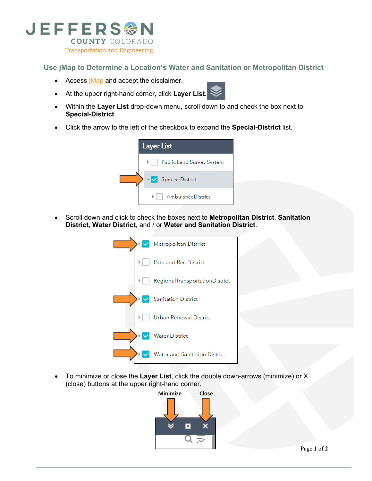

**Use jMap to Determine a Location's Water and Sanitation or Metropolitan District**

- Access *iMap* and accept the disclaimer.
- At the upper right-hand corner, click **Layer List**.
- Within the **Layer List** drop-down menu, scroll down to and check the box next to **Special-District**.
- Click the arrow to the left of the checkbox to expand the **Special-District** list.



• Scroll down and click to check the boxes next to **Metropolitan District**, **Sanitation District**, **Water District**, and / or **Water and Sanitation District**.



• To minimize or close the **Layer List**, click the double down-arrows (minimize) or X (close) buttons at the upper right-hand corner.